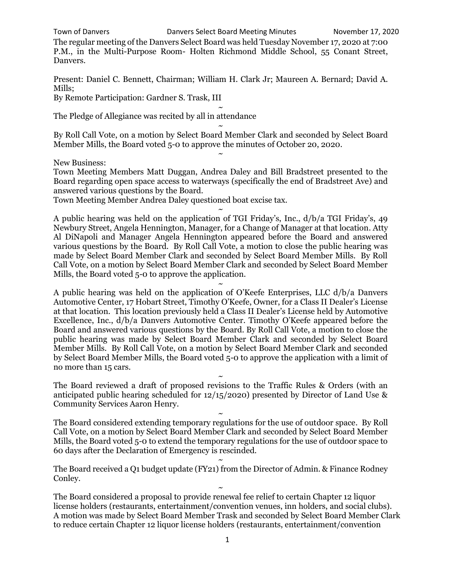Town of Danvers Danvers Select Board Meeting Minutes November 17, 2020

The regular meeting of the Danvers Select Board was held Tuesday November 17, 2020 at 7:00 P.M., in the Multi-Purpose Room- Holten Richmond Middle School, 55 Conant Street, Danvers.

Present: Daniel C. Bennett, Chairman; William H. Clark Jr; Maureen A. Bernard; David A. Mills;

By Remote Participation: Gardner S. Trask, III  $\ddot{\phantom{0}}$ 

The Pledge of Allegiance was recited by all in attendance

~ By Roll Call Vote, on a motion by Select Board Member Clark and seconded by Select Board Member Mills, the Board voted 5-0 to approve the minutes of October 20, 2020. ~

New Business:

Town Meeting Members Matt Duggan, Andrea Daley and Bill Bradstreet presented to the Board regarding open space access to waterways (specifically the end of Bradstreet Ave) and answered various questions by the Board.

 $\ddot{\phantom{0}}$ 

Town Meeting Member Andrea Daley questioned boat excise tax.

A public hearing was held on the application of TGI Friday's, Inc., d/b/a TGI Friday's, 49 Newbury Street, Angela Hennington, Manager, for a Change of Manager at that location. Atty Al DiNapoli and Manager Angela Hennington appeared before the Board and answered various questions by the Board. By Roll Call Vote, a motion to close the public hearing was made by Select Board Member Clark and seconded by Select Board Member Mills. By Roll Call Vote, on a motion by Select Board Member Clark and seconded by Select Board Member Mills, the Board voted 5-0 to approve the application.

~

A public hearing was held on the application of O'Keefe Enterprises, LLC d/b/a Danvers Automotive Center, 17 Hobart Street, Timothy O'Keefe, Owner, for a Class II Dealer's License at that location. This location previously held a Class II Dealer's License held by Automotive Excellence, Inc., d/b/a Danvers Automotive Center. Timothy O'Keefe appeared before the Board and answered various questions by the Board. By Roll Call Vote, a motion to close the public hearing was made by Select Board Member Clark and seconded by Select Board Member Mills. By Roll Call Vote, on a motion by Select Board Member Clark and seconded by Select Board Member Mills, the Board voted 5-0 to approve the application with a limit of no more than 15 cars.

 $\ddot{\phantom{0}}$ The Board reviewed a draft of proposed revisions to the Traffic Rules & Orders (with an anticipated public hearing scheduled for 12/15/2020) presented by Director of Land Use & Community Services Aaron Henry.

 $\ddot{\phantom{0}}$ 

The Board considered extending temporary regulations for the use of outdoor space. By Roll Call Vote, on a motion by Select Board Member Clark and seconded by Select Board Member Mills, the Board voted 5-0 to extend the temporary regulations for the use of outdoor space to 60 days after the Declaration of Emergency is rescinded.

 $\ddot{\phantom{0}}$ The Board received a Q1 budget update (FY21) from the Director of Admin. & Finance Rodney Conley.

~ The Board considered a proposal to provide renewal fee relief to certain Chapter 12 liquor license holders (restaurants, entertainment/convention venues, inn holders, and social clubs). A motion was made by Select Board Member Trask and seconded by Select Board Member Clark to reduce certain Chapter 12 liquor license holders (restaurants, entertainment/convention